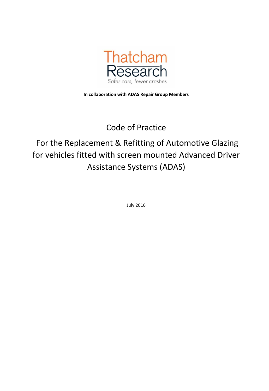

**In collaboration with ADAS Repair Group Members**

## Code of Practice

# For the Replacement & Refitting of Automotive Glazing for vehicles fitted with screen mounted Advanced Driver Assistance Systems (ADAS)

July 2016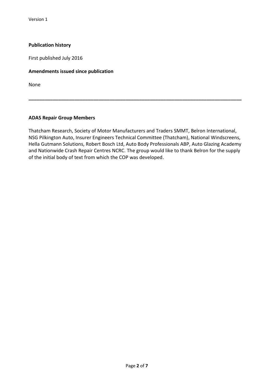Version 1

#### **Publication history**

First published July 2016

#### **Amendments issued since publication**

None

#### **ADAS Repair Group Members**

Thatcham Research, Society of Motor Manufacturers and Traders SMMT, Belron International, NSG Pilkington Auto, Insurer Engineers Technical Committee (Thatcham), National Windscreens, Hella Gutmann Solutions, Robert Bosch Ltd, Auto Body Professionals ABP, Auto Glazing Academy and Nationwide Crash Repair Centres NCRC. The group would like to thank Belron for the supply of the initial body of text from which the COP was developed.

**\_\_\_\_\_\_\_\_\_\_\_\_\_\_\_\_\_\_\_\_\_\_\_\_\_\_\_\_\_\_\_\_\_\_\_\_\_\_\_\_\_\_\_\_\_\_\_\_\_\_\_\_\_\_\_\_\_\_\_\_\_\_\_\_\_\_\_\_\_\_\_\_\_\_\_\_\_\_\_**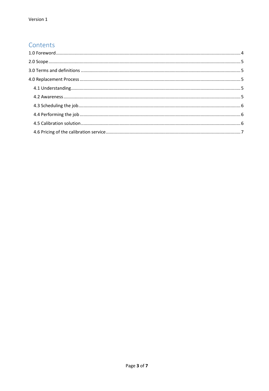## Contents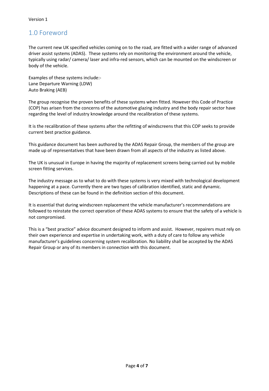## <span id="page-3-0"></span>1.0 Foreword

The current new UK specified vehicles coming on to the road, are fitted with a wider range of advanced driver assist systems (ADAS). These systems rely on monitoring the environment around the vehicle, typically using radar/ camera/ laser and infra-red sensors, which can be mounted on the windscreen or body of the vehicle.

Examples of these systems include:- Lane Departure Warning (LDW) Auto Braking (AEB)

The group recognise the proven benefits of these systems when fitted. However this Code of Practice (COP) has arisen from the concerns of the automotive glazing industry and the body repair sector have regarding the level of industry knowledge around the recalibration of these systems.

It is the recalibration of these systems after the refitting of windscreens that this COP seeks to provide current best practice guidance.

This guidance document has been authored by the ADAS Repair Group, the members of the group are made up of representatives that have been drawn from all aspects of the industry as listed above.

The UK is unusual in Europe in having the majority of replacement screens being carried out by mobile screen fitting services.

The industry message as to what to do with these systems is very mixed with technological development happening at a pace. Currently there are two types of calibration identified, static and dynamic. Descriptions of these can be found in the definition section of this document.

It is essential that during windscreen replacement the vehicle manufacturer's recommendations are followed to reinstate the correct operation of these ADAS systems to ensure that the safety of a vehicle is not compromised.

This is a "best practice" advice document designed to inform and assist. However, repairers must rely on their own experience and expertise in undertaking work, with a duty of care to follow any vehicle manufacturer's guidelines concerning system recalibration. No liability shall be accepted by the ADAS Repair Group or any of its members in connection with this document.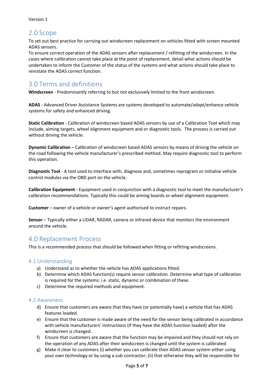## <span id="page-4-0"></span>2.0 Scope

To set out best practice for carrying out windscreen replacement on vehicles fitted with screen mounted ADAS sensors.

To ensure correct operation of the ADAS sensors after replacement / refitting of the windscreen. In the cases where calibration cannot take place at the point of replacement, detail what actions should be undertaken to inform the Customer of the status of the systems and what actions should take place to reinstate the ADAS correct function.

## <span id="page-4-1"></span>3.0 Terms and definitions

**Windscreen** - Predominantly referring to but not exclusively limited to the front windscreen.

**ADAS** - Advanced Driver Assistance Systems are systems developed to automate/adapt/enhance vehicle systems for safety and enhanced driving.

**Static Calibration** - Calibration of windscreen based ADAS sensors by use of a Calibration Tool which may include, aiming targets, wheel alignment equipment and or diagnostic tools. The process is carried out without driving the vehicle.

**Dynamic Calibration** – Calibration of windscreen based ADAS sensors by means of driving the vehicle on the road following the vehicle manufacturer's prescribed method. May require diagnostic tool to perform this operation.

**Diagnostic Tool** - A tool used to interface with, diagnose and, sometimes reprogram or initialise vehicle control modules via the OBD port on the vehicle.

**Calibration Equipment -** Equipment used in conjunction with a diagnostic tool to meet the manufacturer's calibration recommendations. Typically this could be aiming boards or wheel alignment equipment.

**Customer** – owner of a vehicle or owner's agent authorised to instruct repairs.

**Sensor** – Typically either a LIDAR, RADAR, camera or infrared device that monitors the environment around the vehicle.

## <span id="page-4-2"></span>4.0 Replacement Process

This is a recommended process that should be followed when fitting or refitting windscreens.

## <span id="page-4-3"></span>4.1 Understanding

- a) Understand as to whether the vehicle has ADAS applications fitted.
- b) Determine which ADAS function(s) require sensor calibration. Determine what type of calibration is required for the systems: i.e. static, dynamic or combination of these.
- c) Determine the required methods and equipment.

#### <span id="page-4-4"></span>4.2 Awareness

- d) Ensure that customers are aware that they have (or potentially have) a vehicle that has ADAS features loaded.
- e) Ensure that the customer is made aware of the need for the sensor being calibrated in accordance with vehicle manufacturers' instructions (if they have the ADAS function loaded) after the windscreen is changed.
- f) Ensure that customers are aware that the function may be impaired and they should not rely on the operation of any ADAS after their windscreen is changed until the system is calibrated.
- g) Make it clear to customers (i) whether you can calibrate their ADAS sensor system either using your own technology or by using a sub-contractor; (ii) that otherwise they will be responsible for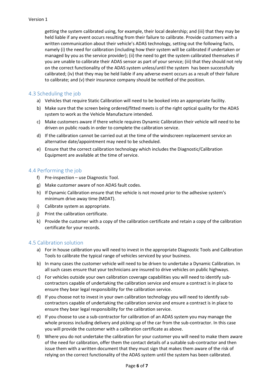getting the system calibrated using, for example, their local dealership; and (iii) that they may be held liable if any event occurs resulting from their failure to calibrate. Provide customers with a written communication about their vehicle's ADAS technology, setting out the following facts, namely (i) the need for calibration (including how their system will be calibrated if undertaken or managed by you as the service provider); (ii) the need to get the system calibrated themselves if you are unable to calibrate their ADAS sensor as part of your service; (iii) that they should not rely on the correct functionality of the ADAS system unless/until the system has been successfully calibrated; (iv) that they may be held liable if any adverse event occurs as a result of their failure to calibrate; and (v) their insurance company should be notified of the position.

## <span id="page-5-0"></span>4.3 Scheduling the job

- a) Vehicles that require Static Calibration will need to be booked into an appropriate facility.
- b) Make sure that the screen being ordered/fitted meets is of the right optical quality for the ADAS system to work as the Vehicle Manufacture intended.
- c) Make customers aware if there vehicle requires Dynamic Calibration their vehicle will need to be driven on public roads in order to complete the calibration service.
- d) If the calibration cannot be carried out at the time of the windscreen replacement service an alternative date/appointment may need to be scheduled.
- e) Ensure that the correct calibration technology which includes the Diagnostic/Calibration Equipment are available at the time of service.

### <span id="page-5-1"></span>4.4 Performing the job

- f) Pre-inspection use Diagnostic Tool.
- g) Make customer aware of non ADAS fault codes.
- h) If Dynamic Calibration ensure that the vehicle is not moved prior to the adhesive system's minimum drive away time (MDAT).
- i) Calibrate system as appropriate.
- j) Print the calibration certificate.
- k) Provide the customer with a copy of the calibration certificate and retain a copy of the calibration certificate for your records.

#### <span id="page-5-2"></span>4.5 Calibration solution

- a) For in house calibration you will need to invest in the appropriate Diagnostic Tools and Calibration Tools to calibrate the typical range of vehicles serviced by your business.
- b) In many cases the customer vehicle will need to be driven to undertake a Dynamic Calibration. In all such cases ensure that your technicians are insured to drive vehicles on public highways.
- c) For vehicles outside your own calibration coverage capabilities you will need to identify subcontractors capable of undertaking the calibration service and ensure a contract is in place to ensure they bear legal responsibility for the calibration service.
- d) If you choose not to invest in your own calibration technology you will need to identify subcontractors capable of undertaking the calibration service and ensure a contract is in place to ensure they bear legal responsibility for the calibration service.
- e) If you choose to use a sub-contractor for calibration of an ADAS system you may manage the whole process including delivery and picking up of the car from the sub-contractor. In this case you will provide the customer with a calibration certificate as above.
- f) Where you do not undertake the calibration for your customer you will need to make them aware of the need for calibration, offer them the contact details of a suitable sub-contractor and then issue them with a written document that they must sign that makes them aware of the risk of relying on the correct functionality of the ADAS system until the system has been calibrated.